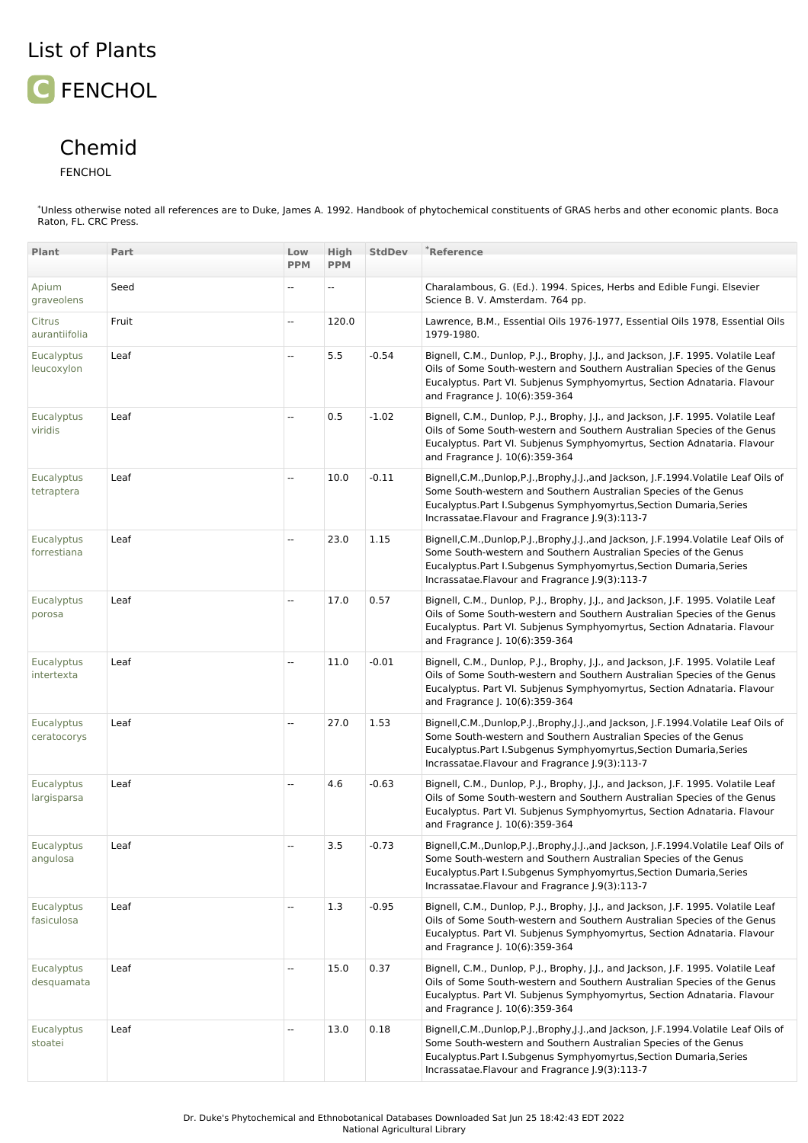## List of Plants

## **C** FENCHOL

## Chemid

FENCHOL

\*Unless otherwise noted all references are to Duke, James A. 1992. Handbook of phytochemical constituents of GRAS herbs and other economic plants. Boca Raton, FL. CRC Press.

| Plant                           | Part  | Low                      | High       | <b>StdDev</b> | $*$ Reference                                                                                                                                                                                                                                                                    |
|---------------------------------|-------|--------------------------|------------|---------------|----------------------------------------------------------------------------------------------------------------------------------------------------------------------------------------------------------------------------------------------------------------------------------|
|                                 |       | <b>PPM</b>               | <b>PPM</b> |               |                                                                                                                                                                                                                                                                                  |
| Apium<br>graveolens             | Seed  | $\overline{a}$           | --         |               | Charalambous, G. (Ed.). 1994. Spices, Herbs and Edible Fungi. Elsevier<br>Science B. V. Amsterdam. 764 pp.                                                                                                                                                                       |
| Citrus<br>aurantiifolia         | Fruit | $\overline{\phantom{a}}$ | 120.0      |               | Lawrence, B.M., Essential Oils 1976-1977, Essential Oils 1978, Essential Oils<br>1979-1980.                                                                                                                                                                                      |
| Eucalyptus<br>leucoxylon        | Leaf  | Ξ.                       | 5.5        | $-0.54$       | Bignell, C.M., Dunlop, P.J., Brophy, J.J., and Jackson, J.F. 1995. Volatile Leaf<br>Oils of Some South-western and Southern Australian Species of the Genus<br>Eucalyptus. Part VI. Subjenus Symphyomyrtus, Section Adnataria. Flavour<br>and Fragrance J. 10(6):359-364         |
| Eucalyptus<br>viridis           | Leaf  | --                       | 0.5        | $-1.02$       | Bignell, C.M., Dunlop, P.J., Brophy, J.J., and Jackson, J.F. 1995. Volatile Leaf<br>Oils of Some South-western and Southern Australian Species of the Genus<br>Eucalyptus. Part VI. Subjenus Symphyomyrtus, Section Adnataria. Flavour<br>and Fragrance J. 10(6):359-364         |
| Eucalyptus<br>tetraptera        | Leaf  | Ξ.                       | 10.0       | $-0.11$       | Bignell, C.M., Dunlop, P.J., Brophy, J.J., and Jackson, J.F. 1994. Volatile Leaf Oils of<br>Some South-western and Southern Australian Species of the Genus<br>Eucalyptus.Part I.Subgenus Symphyomyrtus,Section Dumaria,Series<br>Incrassatae.Flavour and Fragrance J.9(3):113-7 |
| Eucalyptus<br>forrestiana       | Leaf  | $\overline{\phantom{a}}$ | 23.0       | 1.15          | Bignell, C.M., Dunlop, P.J., Brophy, J.J., and Jackson, J.F. 1994. Volatile Leaf Oils of<br>Some South-western and Southern Australian Species of the Genus<br>Eucalyptus.Part I.Subgenus Symphyomyrtus,Section Dumaria,Series<br>Incrassatae.Flavour and Fragrance [.9(3):113-7 |
| Eucalyptus<br>porosa            | Leaf  | Ξ.                       | 17.0       | 0.57          | Bignell, C.M., Dunlop, P.J., Brophy, J.J., and Jackson, J.F. 1995. Volatile Leaf<br>Oils of Some South-western and Southern Australian Species of the Genus<br>Eucalyptus. Part VI. Subjenus Symphyomyrtus, Section Adnataria. Flavour<br>and Fragrance J. 10(6):359-364         |
| Eucalyptus<br>intertexta        | Leaf  | $\overline{\phantom{a}}$ | 11.0       | $-0.01$       | Bignell, C.M., Dunlop, P.J., Brophy, J.J., and Jackson, J.F. 1995. Volatile Leaf<br>Oils of Some South-western and Southern Australian Species of the Genus<br>Eucalyptus. Part VI. Subjenus Symphyomyrtus, Section Adnataria. Flavour<br>and Fragrance J. 10(6):359-364         |
| Eucalyptus<br>ceratocorys       | Leaf  | $\overline{\phantom{a}}$ | 27.0       | 1.53          | Bignell, C.M., Dunlop, P.J., Brophy, J.J., and Jackson, J.F. 1994. Volatile Leaf Oils of<br>Some South-western and Southern Australian Species of the Genus<br>Eucalyptus.Part I.Subgenus Symphyomyrtus,Section Dumaria,Series<br>Incrassatae.Flavour and Fragrance J.9(3):113-7 |
| Eucalyptus<br>largisparsa       | Leaf  | $\overline{a}$           | 4.6        | $-0.63$       | Bignell, C.M., Dunlop, P.J., Brophy, J.J., and Jackson, J.F. 1995. Volatile Leaf<br>Oils of Some South-western and Southern Australian Species of the Genus<br>Eucalyptus. Part VI. Subjenus Symphyomyrtus, Section Adnataria. Flavour<br>and Fragrance J. 10(6):359-364         |
| Eucalyptus<br>angulosa          | Leaf  | $\overline{\phantom{a}}$ | 3.5        | $-0.73$       | Bignell, C.M., Dunlop, P.J., Brophy, J.J., and Jackson, J.F.1994. Volatile Leaf Oils of<br>Some South-western and Southern Australian Species of the Genus<br>Eucalyptus.Part I.Subgenus Symphyomyrtus,Section Dumaria,Series<br>Incrassatae.Flavour and Fragrance J.9(3):113-7  |
| <b>Eucalyptus</b><br>fasiculosa | Leaf  | $\overline{\phantom{a}}$ | 1.3        | $-0.95$       | Bignell, C.M., Dunlop, P.J., Brophy, J.J., and Jackson, J.F. 1995. Volatile Leaf<br>Oils of Some South-western and Southern Australian Species of the Genus<br>Eucalyptus. Part VI. Subjenus Symphyomyrtus, Section Adnataria. Flavour<br>and Fragrance J. 10(6):359-364         |
| Eucalyptus<br>desquamata        | Leaf  | $\overline{\phantom{a}}$ | 15.0       | 0.37          | Bignell, C.M., Dunlop, P.J., Brophy, J.J., and Jackson, J.F. 1995. Volatile Leaf<br>Oils of Some South-western and Southern Australian Species of the Genus<br>Eucalyptus. Part VI. Subjenus Symphyomyrtus, Section Adnataria. Flavour<br>and Fragrance J. 10(6):359-364         |
| <b>Eucalyptus</b><br>stoatei    | Leaf  | $\overline{\phantom{a}}$ | 13.0       | 0.18          | Bignell,C.M.,Dunlop,P.J.,Brophy,J.J.,and Jackson, J.F.1994.Volatile Leaf Oils of<br>Some South-western and Southern Australian Species of the Genus<br>Eucalyptus.Part I.Subgenus Symphyomyrtus,Section Dumaria,Series<br>Incrassatae.Flavour and Fragrance J.9(3):113-7         |